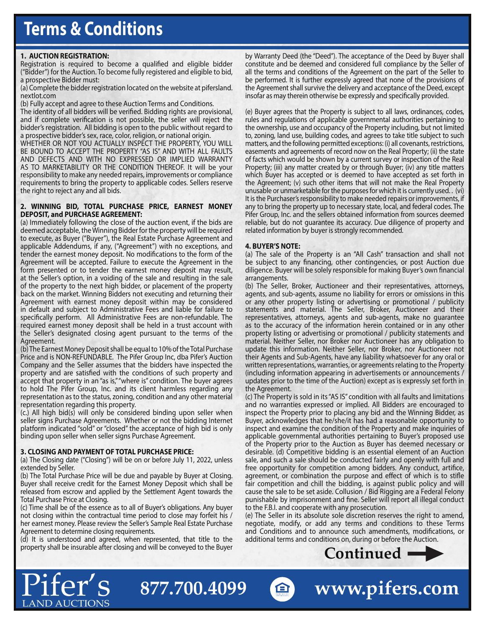# **Terms & Conditions**

# **1. AUCTION REGISTRATION:**

Registration is required to become a qualified and eligible bidder ("Bidder") for the Auction. To become fully registered and eligible to bid, a prospective Bidder must:

(a) Complete the bidder registration located on the website at pifersland. nextlot.com

(b) Fully accept and agree to these Auction Terms and Conditions.

The identity of all bidders will be verified. Bidding rights are provisional, and if complete verification is not possible, the seller will reject the bidder's registration. All bidding is open to the public without regard to a prospective bidder's sex, race, color, religion, or national origin.

WHETHER OR NOT YOU ACTUALLY INSPECT THE PROPERTY, YOU WILL BE BOUND TO ACCEPT THE PROPERTY "AS IS" AND WITH ALL FAULTS AND DEFECTS AND WITH NO EXPRESSED OR IMPLIED WARRANTY AS TO MARKETABILITY OR THE CONDITION THEREOF. It will be your responsibility to make any needed repairs, improvements or compliance requirements to bring the property to applicable codes. Sellers reserve the right to reject any and all bids.

#### **2. WINNING BID, TOTAL PURCHASE PRICE, EARNEST MONEY DEPOSIT, and PURCHASE AGREEMENT:**

(a) Immediately following the close of the auction event, if the bids are deemed acceptable, the Winning Bidder for the property will be required to execute, as Buyer ("Buyer"), the Real Estate Purchase Agreement and applicable Addendums, if any, ("Agreement") with no exceptions, and tender the earnest money deposit. No modifications to the form of the Agreement will be accepted. Failure to execute the Agreement in the form presented or to tender the earnest money deposit may result, at the Seller's option, in a voiding of the sale and resulting in the sale of the property to the next high bidder, or placement of the property back on the market. Winning Bidders not executing and returning their Agreement with earnest money deposit within may be considered in default and subject to Administrative Fees and liable for failure to specifically perform. All Administrative Fees are non-refundable. The required earnest money deposit shall be held in a trust account with the Seller's designated closing agent pursuant to the terms of the Agreement.

(b) The Earnest Money Deposit shall be equal to 10% of the Total Purchase Price and is NON-REFUNDABLE. The Pifer Group Inc, dba Pifer's Auction Company and the Seller assumes that the bidders have inspected the property and are satisfied with the conditions of such property and accept that property in an "as is," "where is" condition. The buyer agrees to hold The Pifer Group, Inc. and its client harmless regarding any representation as to the status, zoning, condition and any other material representation regarding this property.

(c.) All high bid(s) will only be considered binding upon seller when seller signs Purchase Agreements. Whether or not the bidding Internet platform indicated "sold" or "closed" the acceptance of high bid is only binding upon seller when seller signs Purchase Agreement.

# **3. CLOSING AND PAYMENT OF TOTAL PURCHASE PRICE:**

LAND AUCTIONS

(a) The Closing date ("Closing") will be on or before July 11, 2022, unless extended by Seller.

(b) The Total Purchase Price will be due and payable by Buyer at Closing. Buyer shall receive credit for the Earnest Money Deposit which shall be released from escrow and applied by the Settlement Agent towards the Total Purchase Price at Closing.

(c) Time shall be of the essence as to all of Buyer's obligations. Any buyer not closing within the contractual time period to close may forfeit his / her earnest money. Please review the Seller's Sample Real Estate Purchase Agreement to determine closing requirements.

(d) It is understood and agreed, when represented, that title to the property shall be insurable after closing and will be conveyed to the Buyer

**877.700.4099**

by Warranty Deed (the "Deed"). The acceptance of the Deed by Buyer shall constitute and be deemed and considered full compliance by the Seller of all the terms and conditions of the Agreement on the part of the Seller to be performed. It is further expressly agreed that none of the provisions of the Agreement shall survive the delivery and acceptance of the Deed, except insofar as may therein otherwise be expressly and specifically provided.

(e) Buyer agrees that the Property is subject to all laws, ordinances, codes, rules and regulations of applicable governmental authorities pertaining to the ownership, use and occupancy of the Property including, but not limited to, zoning, land use, building codes, and agrees to take title subject to such matters, and the following permitted exceptions: (i) all covenants, restrictions, easements and agreements of record now on the Real Property; (ii) the state of facts which would be shown by a current survey or inspection of the Real Property; (iii) any matter created by or through Buyer; (iv) any title matters which Buyer has accepted or is deemed to have accepted as set forth in the Agreement; (v) such other items that will not make the Real Property unusable or unmarketable for the purposes for which it is currently used. . (vi) It is the Purchaser's responsibility to make needed repairs or improvements, if any to bring the property up to necessary state, local, and federal codes. The Pifer Group, Inc. and the sellers obtained information from sources deemed reliable, but do not guarantee its accuracy. Due diligence of property and related information by buyer is strongly recommended.

# **4. BUYER'S NOTE:**

(a) The sale of the Property is an "All Cash" transaction and shall not be subject to any financing, other contingencies, or post Auction due diligence. Buyer will be solely responsible for making Buyer's own financial arrangements.

(b) The Seller, Broker, Auctioneer and their representatives, attorneys, agents, and sub-agents, assume no liability for errors or omissions in this or any other property listing or advertising or promotional / publicity statements and material. The Seller, Broker, Auctioneer and their representatives, attorneys, agents and sub-agents, make no guarantee as to the accuracy of the information herein contained or in any other property listing or advertising or promotional / publicity statements and material. Neither Seller, nor Broker nor Auctioneer has any obligation to update this information. Neither Seller, nor Broker, nor Auctioneer not their Agents and Sub-Agents, have any liability whatsoever for any oral or written representations, warranties, or agreements relating to the Property (including information appearing in advertisements or announcements / updates prior to the time of the Auction) except as is expressly set forth in the Agreement.

(c) The Property is sold in its "AS IS" condition with all faults and limitations and no warranties expressed or implied. All Bidders are encouraged to inspect the Property prior to placing any bid and the Winning Bidder, as Buyer, acknowledges that he/she/it has had a reasonable opportunity to inspect and examine the condition of the Property and make inquiries of applicable governmental authorities pertaining to Buyer's proposed use of the Property prior to the Auction as Buyer has deemed necessary or desirable. (d) Competitive bidding is an essential element of an Auction sale, and such a sale should be conducted fairly and openly with full and free opportunity for competition among bidders. Any conduct, artifice, agreement, or combination the purpose and effect of which is to stifle fair competition and chill the bidding, is against public policy and will cause the sale to be set aside. Collusion / Bid Rigging are a Federal Felony punishable by imprisonment and fine. Seller will report all illegal conduct to the F.B.I. and cooperate with any prosecution.

(e) The Seller in its absolute sole discretion reserves the right to amend, negotiate, modify, or add any terms and conditions to these Terms and Conditions and to announce such amendments, modifications, or additional terms and conditions on, during or before the Auction.



**A** www.pifers.com